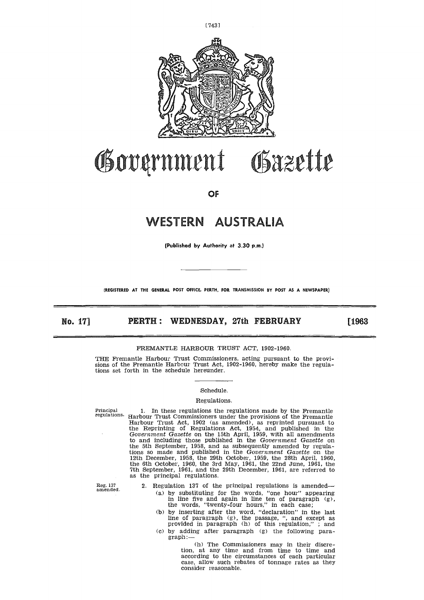

# 'anti% matt **aZ**  $-44$  $\mathcal{U}$  ,  $\mathcal{U}$  ,

**OF**

# **WESTERN** AL7RALIA **NESTERN AUSTRALIA**<br>
(Published by Authority at 3.30 p.m.)<br>
(REGISTERED AT THE GENERAL POST OFFICE. PERTH, FOR TRANSMISSION BY POST AS A NEWSPAPER)<br> **NO. 17]** PERTH : WEDNESDAY, 27th FEBRUARY [1963<br>
FREMANTLE HARBOUR TRUST

**(Published by Authority at 3.30 p.m.)**

**(REGISTERED AT THE GENERAL POST OFFICE. PERTH, FOR TRANSMISSION BY POST AS A NEWSPAPER)**

# FREMANTLE HARBOUR TRUST ACT, 1902-1960.

THE Fremantle Harbour Trust Commissioners, acting pursuant to the provisions of the Fremantle Harbour Trust Act, 1902-1960, hereby make the regulations set forth in the schedule hereunder.

### Schedule.

### Regulations.

Principal regulations.

1. In these regulations the regulations made by the Fremantle Harbour Trust Commissioners under the provisions of the Fremantle Harbour Trust Act, 1902 (as amended), as reprinted pursuant to the Reprinting of Regulations Act, 1954, and published in the *Government Gazette* on the 15th April, 1959, with all amendments to and including those published in the *Government Gazette* on the 5th September, 1958, and as subsequently amended by regula-tions so made and published in the *Government Gazette* on the 12th December, 1958, the 29th October, 1959, the 28th April, 1960, the 6th October, 1960, the 3rd May, 1961, the 22nd June, 1961, the 7th September, 1961, and the 29th December, 1961, are referred to as the principal regulations.

Reg. 137 amended.

2. Regulation 137 of the principal regulations is amended (a) by substituting for the words, "one hour" appearing in line five and again in line ten of paragraph (g), the words, "twenty-four hours," in each case;

(b) by inserting after the word, "declaration" in the last line of paragraph (g), the passage, ", and except as provided in paragraph (h) of this regulation," ; and (c) by adding after paragraph (g) the following paragraph:—

> (h) The Commissioners may in their discretion, at any time and from time to time and according to the circumstances of each particular case, allow such rebates of tonnage rates as they consider reasonable.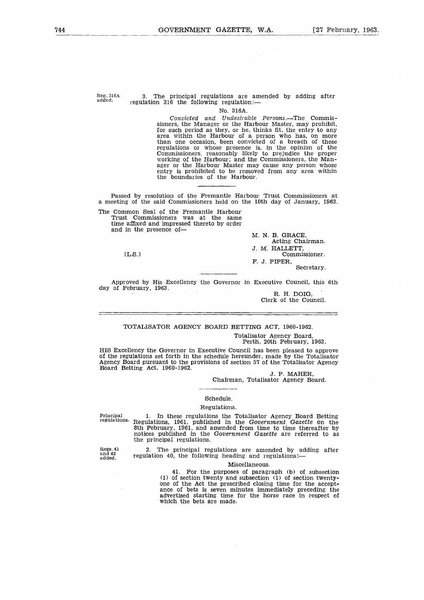Reg. 316A added.

### 3. The principal regulations are amended by adding after regulation 316 the following regulation:

### No. 316A.

*Convicted and Undesirable Persons.—The* Commissioners, the Manager or the Harbour Master, may prohibit, for such period as they, or he, thinks fit, the entry to any area within the Harbour of a person who has, on more than one occasion, been convicted of a breach of these regulations or whose presence is, in the opinion of the Commissioners, reasonably likely to prejudice the proper working of the Harbour; and the Commissioners, the Manager or the Harbour Master may cause any person whose entry is prohibited to be removed from any area within the boundaries of the Harbour.

Passed by resolution of the Fremantle Harbour Trust Commissioners at a meeting of the said Commissioners held on the 10th day of January, 1963.

The Common Seal of the Fremantle Harbour Trust Commissioners was at the same time affixed and impressed thereto by order and in the presence of-, t<br>n<br>e

EL.S.1

M. N. B. GRACE, Acting Chairman. J. M. HALLETT, Commissioner. F. J. PIPER,

Secretary.

Approved by His Excellency the Governor in Executive Council, this 6th day of February, 1963.

R. H. DOIG. Clerk of the Council.

# TOTALISATOR AGENCY BOARD BETTING ACT, 1960-1962. Totalisator Agency Board,

Perth, 20th February, 1963.

HIS Excellency the Governor in Executive Council has been pleased to approve of the regulations set forth in the schedule hereunder, made by the Totalisator Agency Board pursuant to the provisions of section 57 of the Totalisator Agency Board Betting Act, 1960-1962.

J. P. MAHER,

Chairman, Totalisator Agency Board.

# Schedule. Regulations.

Principal regulations.

1. In these regulations the Totalisator Agency Board Betting Regulations, 1961, published in the *Government Gazette* on the 8th February, 1961, and amended from time to time thereafter by notices published in the *Government Gazette* are referred to as the principal regulations.

Regs. 41 and 42 added.

2. The principal regulations are amended by adding after regulation 40, the following heading and regulations:

### Miscellaneous.

41. For the purposes of paragraph (b) of subsection (1) of section twenty and subsection (1) of section twentyone of the Act the prescribed closing time for the acceptance of bets is seven minutes immediately preceding the advertised starting time for the horse race in respect of which the bets are made.